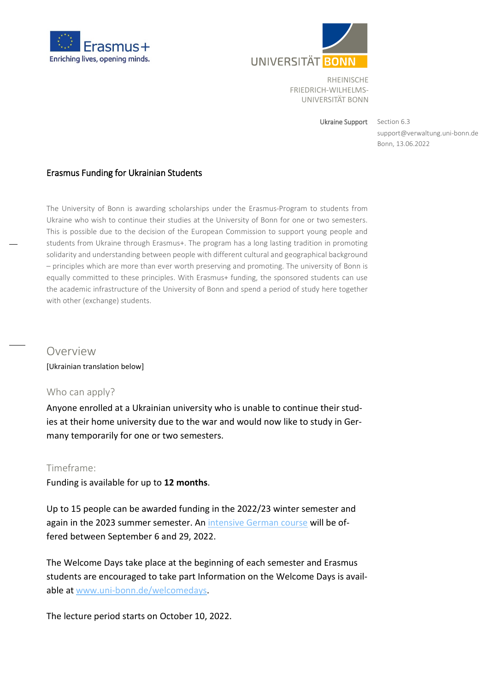



Ukraine Support

support@verwaltung.uni-bonn.de Bonn, 13.06.2022 Section 6.3

# Erasmus Funding for Ukrainian Students

The University of Bonn is awarding scholarships under the Erasmus-Program to students from Ukraine who wish to continue their studies at the University of Bonn for one or two semesters. This is possible due to the decision of the European Commission to support young people and students from Ukraine through Erasmus+. The program has a long lasting tradition in promoting solidarity and understanding between people with different cultural and geographical background – principles which are more than ever worth preserving and promoting. The university of Bonn is equally committed to these principles. With Erasmus+ funding, the sponsored students can use the academic infrastructure of the University of Bonn and spend a period of study here together with other (exchange) students.

# Overview

[Ukrainian translation below]

# Who can apply?

Anyone enrolled at a Ukrainian university who is unable to continue their studies at their home university due to the war and would now like to study in Germany temporarily for one or two semesters.

# Timeframe:

Funding is available for up to **12 months**.

Up to 15 people can be awarded funding in the 2022/23 winter semester and again in the 2023 summer semester. An [intensive German course](https://www.uni-bonn.de/en/studying/international-students/learning-german/preparatory-courses?set_language=en) will be offered between September 6 and 29, 2022.

The Welcome Days take place at the beginning of each semester and Erasmus students are encouraged to take part Information on the Welcome Days is available at [www.uni-bonn.de/welcomedays.](http://www.uni-bonn.de/welcomedays)

The lecture period starts on October 10, 2022.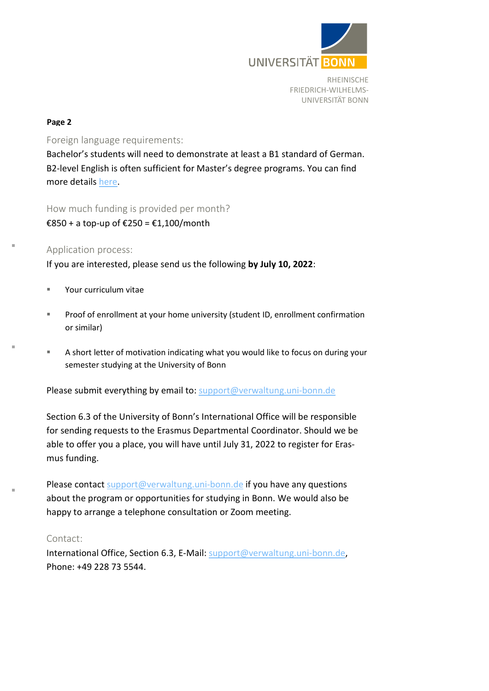

#### **Page 2**

Foreign language requirements:

Bachelor's students will need to demonstrate at least a B1 standard of German. B2-level English is often sufficient for Master's degree programs. You can find more details [here.](https://www.uni-bonn.de/en/studying/erasmus-departmental-coordinators/erasmus-departmental-coordinators?set_language=en#Fk01_Bereich-Fachko)

How much funding is provided per month?

€850 + a top-up of €250 = €1,100/month

# Application process:

If you are interested, please send us the following **by July 10, 2022**:

- Your curriculum vitae
- **Proof of enrollment at your home university (student ID, enrollment confirmation** or similar)
- A short letter of motivation indicating what you would like to focus on during your semester studying at the University of Bonn

Please submit everything by email to: [support@verwaltung.uni-bonn.de](mailto:support@verwaltung.uni-bonn.de)

Section 6.3 of the University of Bonn's International Office will be responsible for sending requests to the Erasmus Departmental Coordinator. Should we be able to offer you a place, you will have until July 31, 2022 to register for Erasmus funding.

Please contact [support@verwaltung.uni-bonn.de](mailto:support@verwaltung.uni-bonn.de) if you have any questions about the program or opportunities for studying in Bonn. We would also be happy to arrange a telephone consultation or Zoom meeting.

# Contact:

International Office, Section 6.3, E-Mail: [support@verwaltung.uni-bonn.de,](mailto:support@verwaltung.uni-bonn.de) Phone: +49 228 73 5544.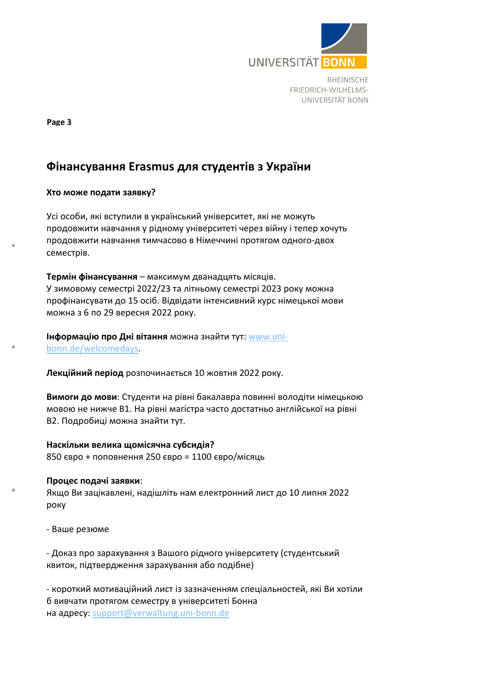

**Page 3**

# **Фінансування Erasmus для студентів з України**

# **Хто може подати заявку?**

Усі особи, які вступили в український університет, які не можуть продовжити навчання у рідному університеті через війну і тепер хочуть продовжити навчання тимчасово в Німеччині протягом одного-двох семестрів.

**Термін фінансування** – максимум дванадцять місяців. У зимовому семестрі 2022/23 та літньому семестрі 2023 року можна профінансувати до 15 осіб. Відвідати інтенсивний курс німецької мови можна з 6 по 29 вересня 2022 року.

**Інформацію про Дні вітання** можна знайти тут: [www.uni](http://www.uni-bonn.de/welcomedays)[bonn.de/welcomedays.](http://www.uni-bonn.de/welcomedays)

**Лекційний період** розпочинається 10 жовтня 2022 року.

**Вимоги до мови**: Студенти на рівні бакалавра повинні володіти німецькою мовою не нижче B1. На рівні магістра часто достатньо англійської на рівні B2. Подробиці можна знайти тут.

**Наскільки велика щомісячна субсидія?** 850 євро + поповнення 250 євро = 1100 євро/місяць

**Процес подачі заявки**: Якщо Ви зацікавлені, надішліть нам електронний лист до 10 липня 2022 року

- Ваше резюме

- Доказ про зарахування з Вашого рідного університету (студентський квиток, підтвердження зарахування або подібне)

- короткий мотиваційний лист із зазначенням спеціальностей, які Ви хотіли б вивчати протягом семестру в університеті Бонна на адресу: [support@verwaltung.uni-bonn.de](mailto:support@verwaltung.uni-bonn.de)